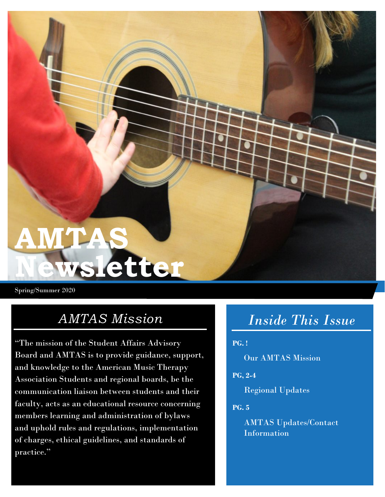**AMTAS** 

Spring/Summer 2020

### *AMTAS Mission*

**Newsletter**

"The mission of the Student Affairs Advisory Board and AMTAS is to provide guidance, support, and knowledge to the American Music Therapy Association Students and regional boards, be the communication liaison between students and their faculty, acts as an educational resource concerning members learning and administration of bylaws and uphold rules and regulations, implementation of charges, ethical guidelines, and standards of practice."

# *Inside This Issue*

### **PG. !**

Our AMTAS Mission

#### **PG, 2-4**

Regional Updates

#### **PG. 5**

AMTAS Updates/Contact Information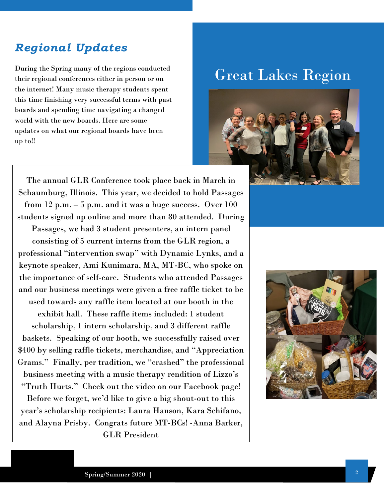### *Regional Updates*

During the Spring many of the regions conducted their regional conferences either in person or on the internet! Many music therapy students spent this time finishing very successful terms with past boards and spending time navigating a changed world with the new boards. Here are some updates on what our regional boards have been up to!!

## Great Lakes Region



The annual GLR Conference took place back in March in Schaumburg, Illinois. This year, we decided to hold Passages from 12 p.m. – 5 p.m. and it was a huge success. Over 100 students signed up online and more than 80 attended. During Passages, we had 3 student presenters, an intern panel consisting of 5 current interns from the GLR region, a professional "intervention swap" with Dynamic Lynks, and a keynote speaker, Ami Kunimara, MA, MT-BC, who spoke on the importance of self-care. Students who attended Passages and our business meetings were given a free raffle ticket to be used towards any raffle item located at our booth in the exhibit hall. These raffle items included: 1 student scholarship, 1 intern scholarship, and 3 different raffle baskets. Speaking of our booth, we successfully raised over \$400 by selling raffle tickets, merchandise, and "Appreciation Grams." Finally, per tradition, we "crashed" the professional business meeting with a music therapy rendition of Lizzo's "Truth Hurts." Check out the video on our Facebook page! Before we forget, we'd like to give a big shout-out to this year's scholarship recipients: Laura Hanson, Kara Schifano, and Alayna Prisby. Congrats future MT-BCs! -Anna Barker,

GLR President

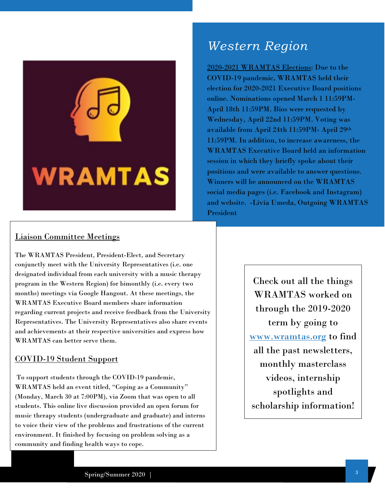

### *Western Region*

2020-2021 WRAMTAS Elections: Due to the COVID-19 pandemic, WRAMTAS held their election for 2020-2021 Executive Board positions online. Nominations opened March 1 11:59PM-April 18th 11:59PM. Bios were requested by Wednesday, April 22nd 11:59PM. Voting was available from April 24th 11:59PM- April 29th 11:59PM. In addition, to increase awareness, the WRAMTAS Executive Board held an information session in which they briefly spoke about their positions and were available to answer questions. Winners will be announced on the WRAMTAS social media pages (i.e. Facebook and Instagram) and website. -Livia Umeda, Outgoing WRAMTAS President

### Liaison Committee Meetings

The WRAMTAS President, President-Elect, and Secretary conjunctly meet with the University Representatives (i.e. one designated individual from each university with a music therapy program in the Western Region) for bimonthly (i.e. every two months) meetings via Google Hangout. At these meetings, the WRAMTAS Executive Board members share information regarding current projects and receive feedback from the University Representatives. The University Representatives also share events and achievements at their respective universities and express how WRAMTAS can better serve them.

### COVID-19 Student Support

To support students through the COVID-19 pandemic, WRAMTAS held an event titled, "Coping as a Community" (Monday, March 30 at 7:00PM), via Zoom that was open to all students. This online live discussion provided an open forum for music therapy students (undergraduate and graduate) and interns to voice their view of the problems and frustrations of the current environment. It finished by focusing on problem solving as a community and finding health ways to cope.

Check out all the things WRAMTAS worked on through the 2019-2020 term by going to [www.wramtas.org](http://www.wramtas.org/) to find all the past newsletters, monthly masterclass videos, internship spotlights and scholarship information!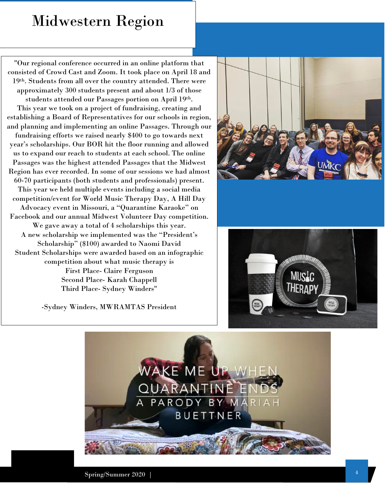# Midwestern Region

"Our regional conference occurred in an online platform that consisted of Crowd Cast and Zoom. It took place on April 18 and 19th. Students from all over the country attended. There were approximately 300 students present and about 1/3 of those students attended our Passages portion on April 19th. This year we took on a project of fundraising, creating and establishing a Board of Representatives for our schools in region, and planning and implementing an online Passages. Through our fundraising efforts we raised nearly \$400 to go towards next year's scholarships. Our BOR hit the floor running and allowed us to expand our reach to students at each school. The online Passages was the highest attended Passages that the Midwest Region has ever recorded. In some of our sessions we had almost 60-70 participants (both students and professionals) present. This year we held multiple events including a social media competition/event for World Music Therapy Day, A Hill Day Advocacy event in Missouri, a "Quarantine Karaoke" on Facebook and our annual Midwest Volunteer Day competition. We gave away a total of 4 scholarships this year. A new scholarship we implemented was the "President's Scholarship" (\$100) awarded to Naomi David Student Scholarships were awarded based on an infographic competition about what music therapy is First Place- Claire Ferguson Second Place- Karah Chappell Third Place- Sydney Winders"

-Sydney Winders, MWRAMTAS President